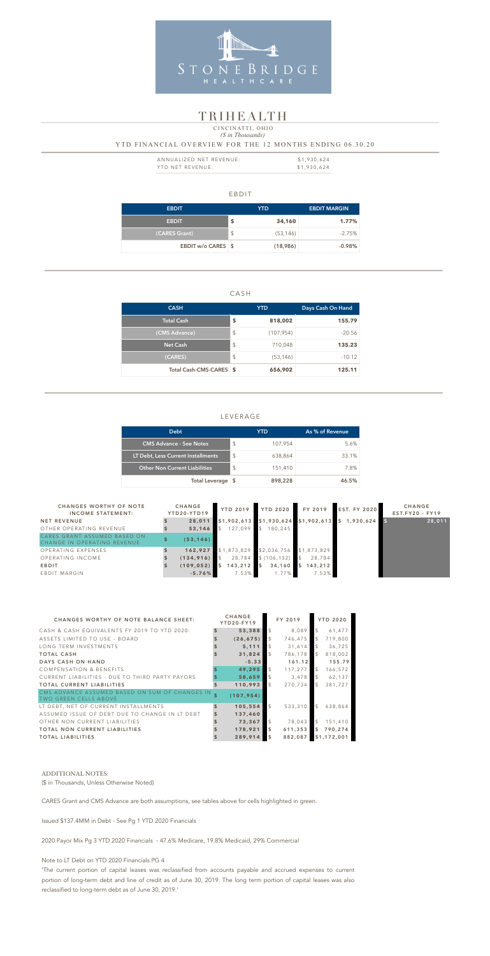### EBDIT

| <b>EBDIT</b>       |                            | <b>YTD</b> | <b>EBDIT MARGIN</b> |
|--------------------|----------------------------|------------|---------------------|
| <b>EBDIT</b>       | \$                         | 34,160     | $1.77\%$            |
| (CARES Grant)      | $\boldsymbol{\mathsf{\$}}$ | (53, 146)  | $-2.75%$            |
| EBDIT w/o CARES \$ |                            | (18,986)   | $-0.98%$            |

### CASH

| <b>CASH</b>             |                         | <b>YTD</b> | Days Cash On Hand |  |  |
|-------------------------|-------------------------|------------|-------------------|--|--|
| <b>Total Cash</b>       | \$                      | 818,002    | 155.79            |  |  |
| (CMS Advance)           | \$                      | (107, 954) | $-20.56$          |  |  |
| <b>Net Cash</b>         | $\sqrt[6]{\frac{1}{2}}$ | 710,048    | 135.23            |  |  |
| (CARES)                 | $\sqrt[6]{\frac{1}{2}}$ | (53, 146)  | $-10.12$          |  |  |
| Total Cash-CMS-CARES \$ |                         | 656,902    | 125.11            |  |  |

| ANNUALIZED NET REVENUE: | \$1,930,624 |
|-------------------------|-------------|
| YTD NET REVENUE:        | \$1,930,624 |

### LEVERAGE

### *(\$ in Thousands)* YTD FINANCIAL OVERVIEW FOR THE 12 MONTHS ENDING 06.30.20 CINCINATTI, OHIO

| <b>Debt</b>                          |                           | YTD     | As % of Revenue |
|--------------------------------------|---------------------------|---------|-----------------|
| <b>CMS Advance - See Notes</b>       | $\boldsymbol{\mathsf{S}}$ | 107,954 | 5.6%            |
| LT Debt, Less Current Installments   | $\mathcal{L}$             | 638,864 | 33.1%           |
| <b>Other Non Current Liabilities</b> | $\mathcal{L}$             | 151,410 | 7.8%            |
| Total Leverage \$                    |                           | 898,228 | 46.5%           |



## TR IHEALTH

| <b>CHANGES WORTHY OF NOTE</b><br><b>INCOME STATEMENT:</b>   | <b>CHANGE</b><br>YTD20-YTD19 | <b>YTD 2019</b> | <b>YTD 2020</b>          | FY 2019                | <b>EST. FY 2020</b> | <b>CHANGE</b><br><b>EST.FY20 - FY19</b> |
|-------------------------------------------------------------|------------------------------|-----------------|--------------------------|------------------------|---------------------|-----------------------------------------|
| <b>NET REVENUE</b>                                          | 28,011                       |                 | \$1,902,613 \$1,930,624  | $$1,902,613$ \$        | 1,930,624           | 28,011                                  |
| OTHER OPERATING REVENUE                                     | 53,146                       | 127,099         | $\mathcal{S}$<br>180,245 |                        |                     |                                         |
| CARES GRANT ASSUMED BASED ON<br>CHANGE IN OPERATING REVENUE | (53, 146)                    |                 |                          |                        |                     |                                         |
| OPERATING EXPENSES                                          | 162,927                      | \$1,873,829     | \$2,036,756              | \$1,873,829            |                     |                                         |
| OPERATING INCOME                                            | (134, 916)                   | 28,784          | \$(106, 132)             | 28,784                 |                     |                                         |
| <b>EBDIT</b>                                                | (109, 052)                   | 143,212         | $\blacksquare$<br>34,160 | 143,212<br>$\mathsf S$ |                     |                                         |
| EBDIT MARGIN                                                | $-5.76\%$                    | 7.53%           | 1.77%                    | 7.53%                  |                     |                                         |

| <b>CHANGES WORTHY OF NOTE BALANCE SHEET:</b>                                   | <b>CHANGE</b><br><b>YTD20-FY19</b> |                         | FY 2019 |                | <b>YTD 2020</b> |
|--------------------------------------------------------------------------------|------------------------------------|-------------------------|---------|----------------|-----------------|
| CASH & CASH EQUIVALENTS FY 2019 TO YTD 2020:                                   | 53,388                             | $\mathcal{S}$           | 8,089   |                | 61,477          |
| ASSETS LIMITED TO USE - BOARD                                                  | (26, 675)                          | $\mathcal{S}$           | 746,475 | $\mathbb{S}$   | 719,800         |
| LONG TERM INVESTMENTS                                                          | 5,111                              |                         | 31,614  |                | 36,725          |
| <b>TOTAL CASH</b>                                                              | 31,824                             | $\mathfrak{L}$          | 786,178 | $\mathbb{S}$   | 818,002         |
| DAYS CASH ON HAND                                                              | $-5.33$                            |                         | 161.12  |                | 155.79          |
| <b>COMPENSATION &amp; BENEFITS</b>                                             | 49,295                             | $\mathcal{S}$           | 117,277 | $\mathfrak{L}$ | 166,572         |
| CURRENT LIABILITIES - DUE TO THIRD PARTY PAYORS                                | 58,659                             | $\mathcal{L}$           | 3,478   | <sup>\$</sup>  | 62,137          |
| <b>TOTAL CURRENT LIABILITIES</b>                                               | 110,993                            | $\mathcal{S}$           | 270,734 | $\mathbb{S}$   | 381,727         |
| CMS ADVANCE ASSUMED BASED ON SUM OF CHANGES IN<br><b>TWO GREEN CELLS ABOVE</b> | \$<br>(107, 954)                   |                         |         |                |                 |
| LT DEBT, NET OF CURRENT INSTALLMENTS                                           | \$<br>105,554                      | $\mathcal{L}$           | 533,310 | $\mathbb{S}$   | 638,864         |
| ASSUMED ISSUE OF DEBT DUE TO CHANGE IN LT DEBT                                 | 137,460                            |                         |         |                |                 |
| OTHER NON CURRENT LIABILITIES                                                  | 73,367                             | $\mathcal{S}$           | 78,043  | $\mathcal{L}$  | 151,410         |
| <b>TOTAL NON CURRENT LIABILITIES</b>                                           | 178,921                            | $\overline{\mathbf{s}}$ | 611,353 |                | \$790,274       |
| <b>TOTAL LIABILITIES</b>                                                       | 289,914                            | $\overline{\mathbf{S}}$ | 882,087 |                | \$1,172,001     |

#### ADDITIONAL NOTES:

(\$ in Thousands, Unless Otherwise Noted)

CARES Grant and CMS Advance are both assumptions, see tables above for cells highlighted in green.

Issued \$137.4MM in Debt - See Pg 1 YTD 2020 Financials

2020 Payor Mix Pg 3 YTD 2020 Financials - 47.6% Medicare, 19.8% Medicaid, 29% Commercial

#### Note to LT Debt on YTD 2020 Financials PG 4

'The current portion of capital leases was reclassified from accounts payable and accrued expenses to current portion of long-term debt and line of credit as of June 30, 2019. The long term portion of capital leases was also reclassified to long-term debt as of June 30, 2019.'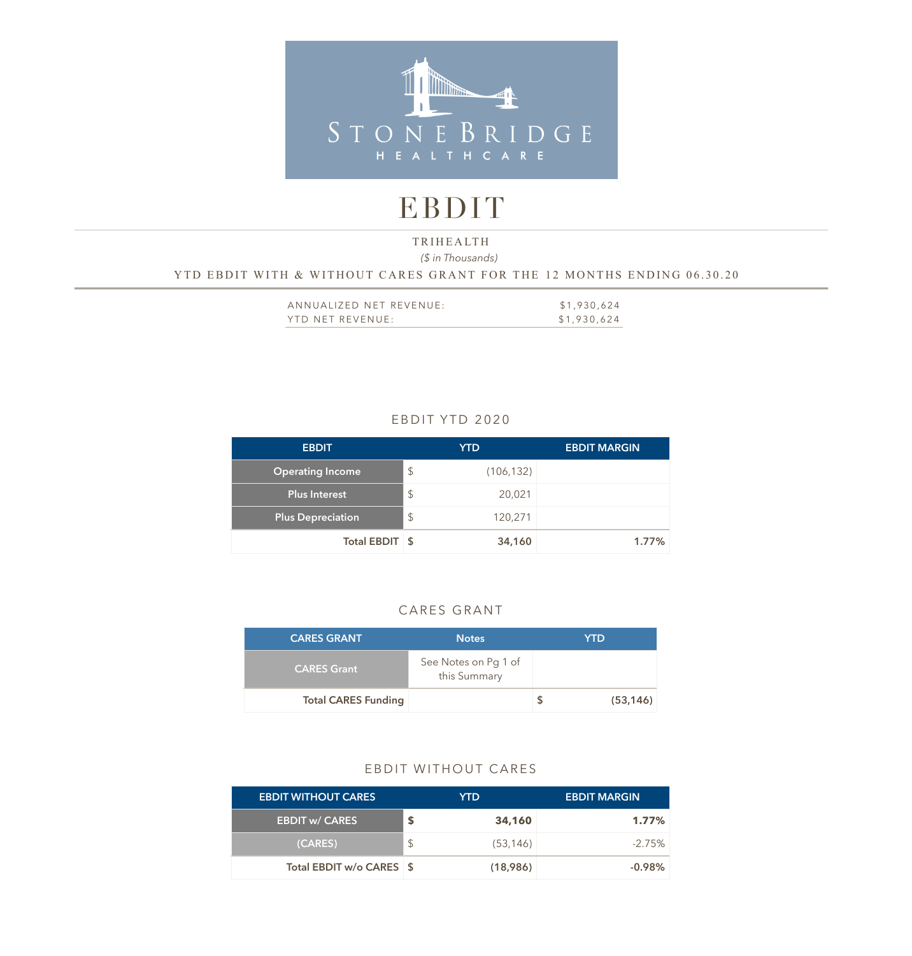

# EBDIT

## *(\$ in Thousands)*  YTD EBDIT WITH & WITHOUT CARES GRANT FOR THE 12 MONTHS ENDING 06.30.20 TRIHEALTH

| ANNUALIZED NET REVENUE: | \$1,930,624 |
|-------------------------|-------------|
| YTD NET REVENUE:        | \$1,930,624 |

## EBDIT YTD 2020

| <b>EBDIT</b>             |               | <b>YTD</b> | <b>EBDIT MARGIN</b> |
|--------------------------|---------------|------------|---------------------|
| <b>Operating Income</b>  | $\mathcal{L}$ | (106, 132) |                     |
| Plus Interest            | $\mathsf{\$}$ | 20,021     |                     |
| <b>Plus Depreciation</b> | $\mathcal{L}$ | 120,271    |                     |
| Total EBDIT \$           |               | 34,160     | 1.77%               |

## CARES GRANT

| <b>CARES GRANT</b>         | <b>Notes</b>                         | YTD       |
|----------------------------|--------------------------------------|-----------|
| <b>CARES Grant</b>         | See Notes on Pg 1 of<br>this Summary |           |
| <b>Total CARES Funding</b> |                                      | (53, 146) |

### EBDIT WITHOUT CARES

| <b>EBDIT WITHOUT CARES</b> |               | YTD.      | <b>EBDIT MARGIN</b> |
|----------------------------|---------------|-----------|---------------------|
| <b>EBDIT w/ CARES</b>      |               | 34,160    | $1.77\%$            |
| (CARES)                    | <sup>\$</sup> | (53, 146) | $-2.75\%$           |
| Total EBDIT w/o CARES \$   |               | (18,986)  | $-0.98\%$           |